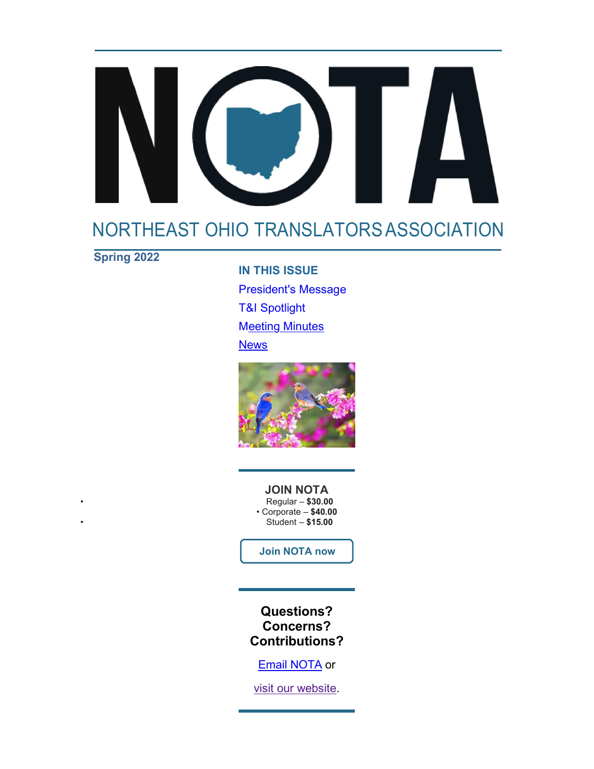# 

# [NORTHEAST OHIO TRANSLATORSASSOCIATION](http://www.notatranslators.org/)

**Spring 2022**

**IN THIS ISSUE** President's Message T&I Spotlight **Meeting Minutes News** 



**JOIN NOTA** • Regular – **\$30.00** • Corporate – **\$40.00** • Student – **\$15.00**

**[Join NOTA now](https://notatranslators.org/membership)**

**Questions? Concerns? Contributions?**

[Email NOTA](mailto:notatranslators@gmail.com) or

[visit our website.](http://www.notatranslators.org/)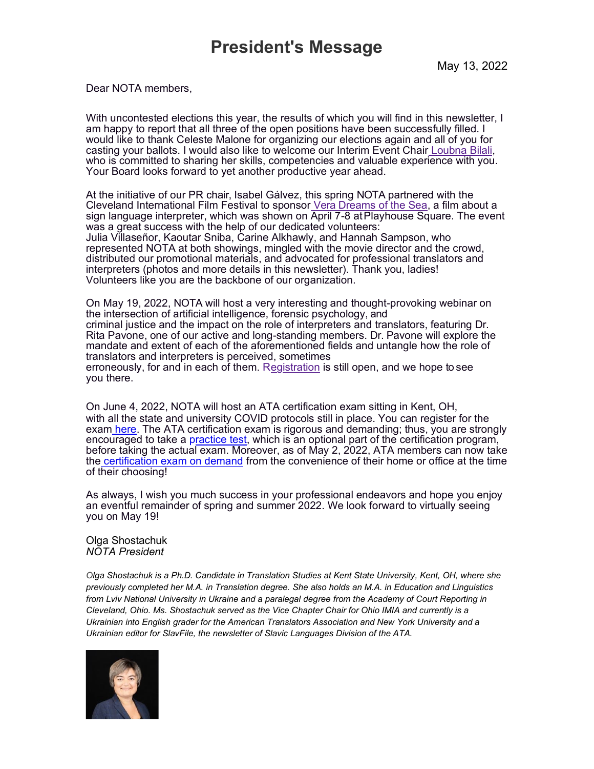Dear NOTA members,

With uncontested elections this year, the results of which you will find in this newsletter, I am happy to report that all three of the open positions have been successfully filled. I would like to thank Celeste Malone for organizing our elections again and all of you for casting your ballots. I would also like to welcome our Interim Event Chair [Loubna Bilali,](https://notatranslators.org/board-of-directors) who is committed to sharing her skills, competencies and valuable experience with you. Your Board looks forward to yet another productive year ahead.

At the initiative of our PR chair, Isabel Gálvez, this spring NOTA partnered with the Cleveland International Film Festival to sponsor [Vera Dreams of the Sea,](https://www.clevelandfilm.org/films/2022/vera-dreams-of-the-sea) a film about a sign language interpreter, which was shown on April 7-8 atPlayhouse Square. The event was a great success with the help of our dedicated volunteers: Julia Villaseñor, Kaoutar Sniba, Carine Alkhawly, and Hannah Sampson, who represented NOTA at both showings, mingled with the movie director and the crowd, distributed our promotional materials, and advocated for professional translators and interpreters (photos and more details in this newsletter). Thank you, ladies! Volunteers like you are the backbone of our organization.

On May 19, 2022, NOTA will host a very interesting and thought-provoking webinar on the intersection of artificial intelligence, forensic psychology, and criminal justice and the impact on the role of interpreters and translators, featuring Dr. Rita Pavone, one of our active and long-standing members. Dr. Pavone will explore the mandate and extent of each of the aforementioned fields and untangle how the role of translators and interpreters is perceived, sometimes erroneously, for and in each of them. [Registration](https://notatranslators.org/event-4791623) is still open, and we hope to see you there.

On June 4, 2022, NOTA will host an ATA certification exam sitting in Kent, OH, with all the state and university COVID protocols still in place. You can register for the exam [here.](https://www.atanet.org/event/certification-exam-in-person-8/) The ATA certification exam is rigorous and demanding; thus, you are strongly encouraged to take a [practice test,](https://www.atanet.org/certification/practice-test/) which is an optional part of the certification program, before taking the actual exam. Moreover, as of May 2, 2022, ATA members can now take the [certification exam on demand](https://www.atanet.org/member-news/newsbriefs-may-3-2022/#1205981) from the convenience of their home or office at the time of their choosing!

As always, I wish you much success in your professional endeavors and hope you enjoy an eventful remainder of spring and summer 2022. We look forward to virtually seeing you on May 19!

Olga Shostachuk *NOTA President*

*Olga Shostachuk is a Ph.D. Candidate in Translation Studies at Kent State University, Kent, OH, where she previously completed her M.A. in Translation degree. She also holds an M.A. in Education and Linguistics from Lviv National University in Ukraine and a paralegal degree from the Academy of Court Reporting in Cleveland, Ohio. Ms. Shostachuk served as the Vice Chapter Chair for Ohio IMIA and currently is a Ukrainian into English grader for the American Translators Association and New York University and a Ukrainian editor for SlavFile, the newsletter of Slavic Languages Division of the ATA.*

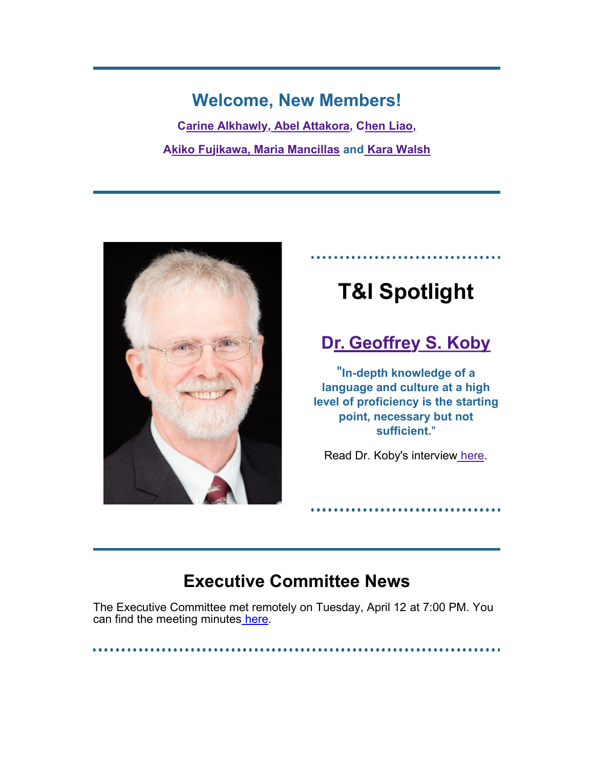# **Welcome, New Members!**

**[Carine Alkhawly,](https://notatranslators.org/Sys/PublicProfile/48954989/4823590) [Abel Attakora,](https://notatranslators.org/Sys/PublicProfile/63833214/4823590) [Chen Liao,](https://notatranslators.org/Sys/PublicProfile/64092645/4823590) [Akiko Fujikawa,](https://notatranslators.org/Sys/PublicProfile/50125284/4823590) [Maria Mancillas](https://notatranslators.org/Sys/PublicProfile/50185046/4823590) and [Kara Walsh](https://notatranslators.org/Sys/PublicProfile/64068397/4823590)**



# **T&I Spotlight**

# **[Dr. Geoffrey S. Koby](https://notatranslators.org/Sys/PublicProfile/50185109/4823590)**

"**In-depth knowledge of a language and culture at a high level of proficiency is the starting point, necessary but not sufficient.**"

Read Dr. Koby's interview [here.](https://notatranslators.org/resources/Documents/NOTABeneFiles/Newsletter%20Spring%202022/Dr.%20Koby%27s%20Feature.pdf)

# **Executive Committee News**

The Executive Committee met remotely on Tuesday, April 12 at 7:00 PM. You can find the meeting minutes [here.](https://notatranslators.org/resources/NOTA%20SPRING%20MEETING%20MINUTES.pdf)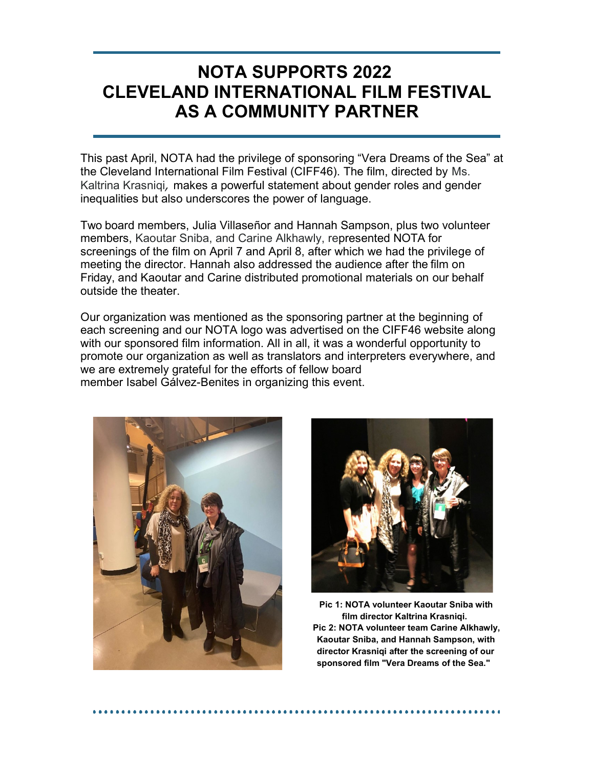# **NOTA SUPPORTS 2022 CLEVELAND INTERNATIONAL FILM FESTIVAL AS A COMMUNITY PARTNER**

This past April, NOTA had the privilege of sponsoring "Vera Dreams of the Sea" at the Cleveland International Film Festival (CIFF46). The film, directed by Ms. Kaltrina Krasniqi*,* makes a powerful statement about gender roles and gender inequalities but also underscores the power of language.

Two board members, Julia Villaseñor and Hannah Sampson, plus two volunteer members, Kaoutar Sniba, and Carine Alkhawly, represented NOTA for screenings of the film on April 7 and April 8, after which we had the privilege of meeting the director. Hannah also addressed the audience after the film on Friday, and Kaoutar and Carine distributed promotional materials on our behalf outside the theater.

Our organization was mentioned as the sponsoring partner at the beginning of each screening and our NOTA logo was advertised on the CIFF46 website along with our sponsored film information. All in all, it was a wonderful opportunity to promote our organization as well as translators and interpreters everywhere, and we are extremely grateful for the efforts of fellow board member Isabel Gálvez-Benites in organizing this event.





**Pic 1: NOTA volunteer Kaoutar Sniba with film director Kaltrina Krasniqi. Pic 2: NOTA volunteer team Carine Alkhawly, Kaoutar Sniba, and Hannah Sampson, with director Krasniqi after the screening of our sponsored film "Vera Dreams of the Sea."**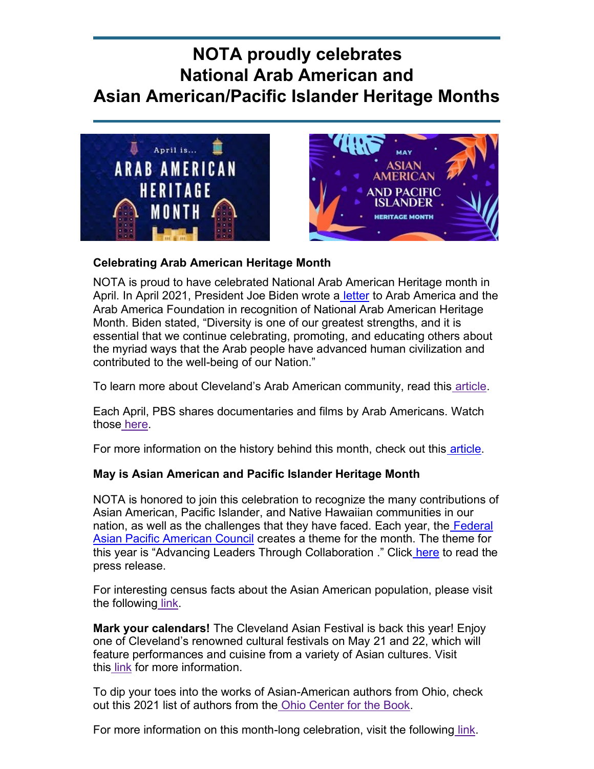# **NOTA proudly celebrates National Arab American and Asian American/Pacific Islander Heritage Months**





### **Celebrating Arab American Heritage Month**

NOTA is proud to have celebrated National Arab American Heritage month in April. In April 2021, President Joe Biden wrote a [letter](https://www.arabamerica.com/breaking-president-joe-biden-recognizes-national-arab-american-heritage-month/) to Arab America and the Arab America Foundation in recognition of National Arab American Heritage Month. Biden stated, "Diversity is one of our greatest strengths, and it is essential that we continue celebrating, promoting, and educating others about the myriad ways that the Arab people have advanced human civilization and contributed to the well-being of our Nation."

To learn more about Cleveland's Arab American community, read this [article.](https://www.thisiscleveland.com/blog/march-2022/arab-american-heritage-month)

Each April, PBS shares documentaries and films by Arab Americans. Watch those [here.](https://www.pbs.org/articles/celebrate-arab-american-heritage-month)

For more information on the history behind this month, check out this [article.](https://www.history.com/topics/21st-century/arab-american-heritage-month#%3A~%3Atext%3DNational%20Arab%20American%20Heritage%20Month%20was%20recognized%20in%20April%202021%2Cmonth%2C%20according%20to%20Arab%20America)

### **May is Asian American and Pacific Islander Heritage Month**

NOTA is honored to join this celebration to recognize the many contributions of Asian American, Pacific Islander, and Native Hawaiian communities in our [nation, as well as the challenges that they have faced. Each year, the](https://fapac.org/AAPI-Resources) Federal [Asian Pacific American Council](https://fapac.org/AAPI-Resources) [creates a theme for the month. The theme for](https://fapac.org/AAPI-Resources) this year is "Advancing Leaders Through Collaboration ." Click [here](https://fapac.org/pressreleases/12235330) to read the press release.

For interesting census facts about the Asian American population, please visit the following [link.](https://www.census.gov/newsroom/facts-for-features/2021/asian-american-pacific-islander.html)

**Mark your calendars!** The Cleveland Asian Festival is back this year! Enjoy one of Cleveland's renowned cultural festivals on May 21 and 22, which will feature performances and cuisine from a variety of Asian cultures. Visit this [link](https://clevelandasianfestival.org/2022/) for more information.

To dip your toes into the works of Asian-American authors from Ohio, check out this 2021 list of authors from the [Ohio Center for the Book.](https://ohiocenterforthebook.org/2021/05/07/celebrate-asian-pacific-american-heritage-month-in-ohio/)

For more information on this month-long celebration, visit the following [link.](https://asianpacificheritage.gov/)